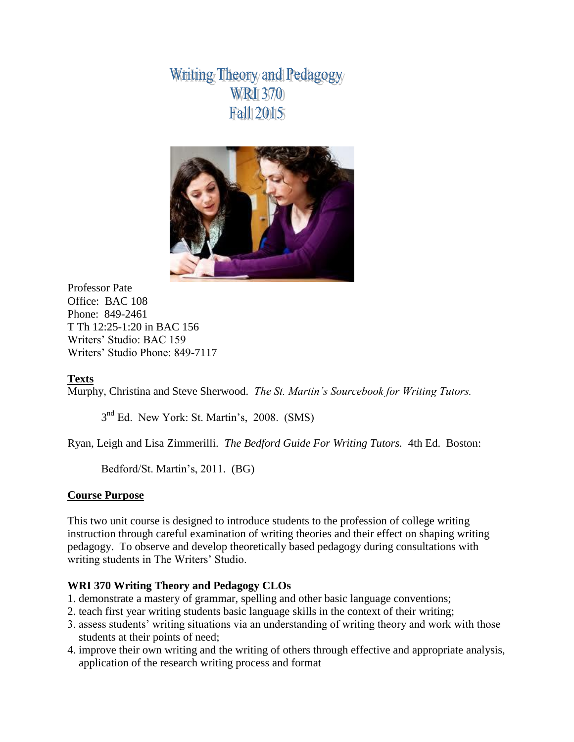Whiting Theory and Pedagogy **WRI** 370 Fal1 2015



Professor Pate Office: BAC 108 Phone: 849-2461 T Th 12:25-1:20 in BAC 156 Writers' Studio: BAC 159 Writers' Studio Phone: 849-7117

# **Texts**

Murphy, Christina and Steve Sherwood. *The St. Martin's Sourcebook for Writing Tutors.*

3<sup>nd</sup> Ed. New York: St. Martin's, 2008. (SMS)

Ryan, Leigh and Lisa Zimmerilli. *The Bedford Guide For Writing Tutors.* 4th Ed. Boston:

Bedford/St. Martin's, 2011. (BG)

#### **Course Purpose**

This two unit course is designed to introduce students to the profession of college writing instruction through careful examination of writing theories and their effect on shaping writing pedagogy. To observe and develop theoretically based pedagogy during consultations with writing students in The Writers' Studio.

# **WRI 370 Writing Theory and Pedagogy CLOs**

- 1. demonstrate a mastery of grammar, spelling and other basic language conventions;
- 2. teach first year writing students basic language skills in the context of their writing;
- 3. assess students' writing situations via an understanding of writing theory and work with those students at their points of need;
- 4. improve their own writing and the writing of others through effective and appropriate analysis, application of the research writing process and format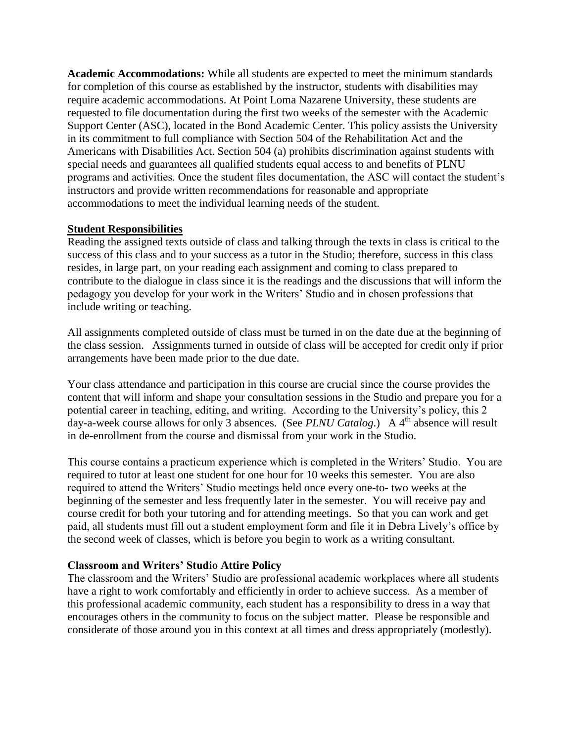**Academic Accommodations:** While all students are expected to meet the minimum standards for completion of this course as established by the instructor, students with disabilities may require academic accommodations. At Point Loma Nazarene University, these students are requested to file documentation during the first two weeks of the semester with the Academic Support Center (ASC), located in the Bond Academic Center. This policy assists the University in its commitment to full compliance with Section 504 of the Rehabilitation Act and the Americans with Disabilities Act. Section 504 (a) prohibits discrimination against students with special needs and guarantees all qualified students equal access to and benefits of PLNU programs and activities. Once the student files documentation, the ASC will contact the student's instructors and provide written recommendations for reasonable and appropriate accommodations to meet the individual learning needs of the student.

## **Student Responsibilities**

Reading the assigned texts outside of class and talking through the texts in class is critical to the success of this class and to your success as a tutor in the Studio; therefore, success in this class resides, in large part, on your reading each assignment and coming to class prepared to contribute to the dialogue in class since it is the readings and the discussions that will inform the pedagogy you develop for your work in the Writers' Studio and in chosen professions that include writing or teaching.

All assignments completed outside of class must be turned in on the date due at the beginning of the class session. Assignments turned in outside of class will be accepted for credit only if prior arrangements have been made prior to the due date.

Your class attendance and participation in this course are crucial since the course provides the content that will inform and shape your consultation sessions in the Studio and prepare you for a potential career in teaching, editing, and writing. According to the University's policy, this 2 day-a-week course allows for only 3 absences. (See *PLNU Catalog*.) A 4<sup>th</sup> absence will result in de-enrollment from the course and dismissal from your work in the Studio.

This course contains a practicum experience which is completed in the Writers' Studio. You are required to tutor at least one student for one hour for 10 weeks this semester. You are also required to attend the Writers' Studio meetings held once every one-to- two weeks at the beginning of the semester and less frequently later in the semester. You will receive pay and course credit for both your tutoring and for attending meetings. So that you can work and get paid, all students must fill out a student employment form and file it in Debra Lively's office by the second week of classes, which is before you begin to work as a writing consultant.

#### **Classroom and Writers' Studio Attire Policy**

The classroom and the Writers' Studio are professional academic workplaces where all students have a right to work comfortably and efficiently in order to achieve success. As a member of this professional academic community, each student has a responsibility to dress in a way that encourages others in the community to focus on the subject matter. Please be responsible and considerate of those around you in this context at all times and dress appropriately (modestly).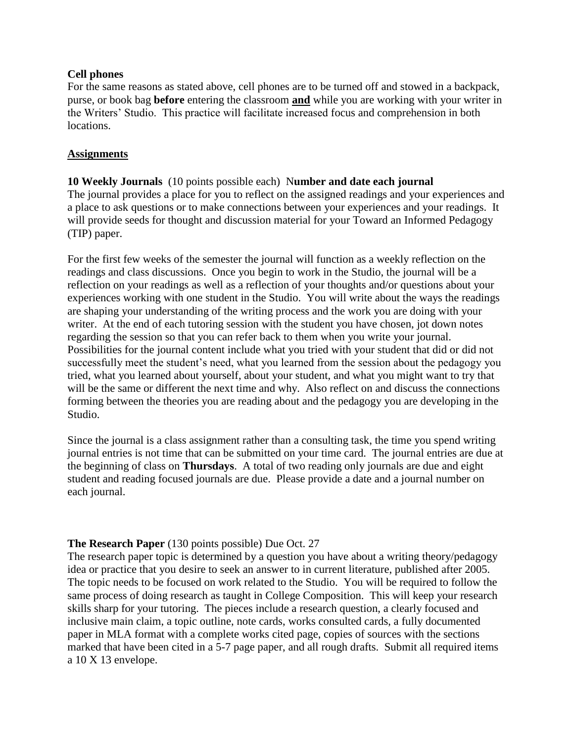## **Cell phones**

For the same reasons as stated above, cell phones are to be turned off and stowed in a backpack, purse, or book bag **before** entering the classroom **and** while you are working with your writer in the Writers' Studio. This practice will facilitate increased focus and comprehension in both locations.

## **Assignments**

**10 Weekly Journals** (10 points possible each) N**umber and date each journal** The journal provides a place for you to reflect on the assigned readings and your experiences and a place to ask questions or to make connections between your experiences and your readings. It will provide seeds for thought and discussion material for your Toward an Informed Pedagogy (TIP) paper.

For the first few weeks of the semester the journal will function as a weekly reflection on the readings and class discussions. Once you begin to work in the Studio, the journal will be a reflection on your readings as well as a reflection of your thoughts and/or questions about your experiences working with one student in the Studio. You will write about the ways the readings are shaping your understanding of the writing process and the work you are doing with your writer. At the end of each tutoring session with the student you have chosen, jot down notes regarding the session so that you can refer back to them when you write your journal. Possibilities for the journal content include what you tried with your student that did or did not successfully meet the student's need, what you learned from the session about the pedagogy you tried, what you learned about yourself, about your student, and what you might want to try that will be the same or different the next time and why. Also reflect on and discuss the connections forming between the theories you are reading about and the pedagogy you are developing in the Studio.

Since the journal is a class assignment rather than a consulting task, the time you spend writing journal entries is not time that can be submitted on your time card. The journal entries are due at the beginning of class on **Thursdays**. A total of two reading only journals are due and eight student and reading focused journals are due. Please provide a date and a journal number on each journal.

# **The Research Paper** (130 points possible) Due Oct. 27

The research paper topic is determined by a question you have about a writing theory/pedagogy idea or practice that you desire to seek an answer to in current literature, published after 2005. The topic needs to be focused on work related to the Studio. You will be required to follow the same process of doing research as taught in College Composition. This will keep your research skills sharp for your tutoring. The pieces include a research question, a clearly focused and inclusive main claim, a topic outline, note cards, works consulted cards, a fully documented paper in MLA format with a complete works cited page, copies of sources with the sections marked that have been cited in a 5-7 page paper, and all rough drafts. Submit all required items a 10 X 13 envelope.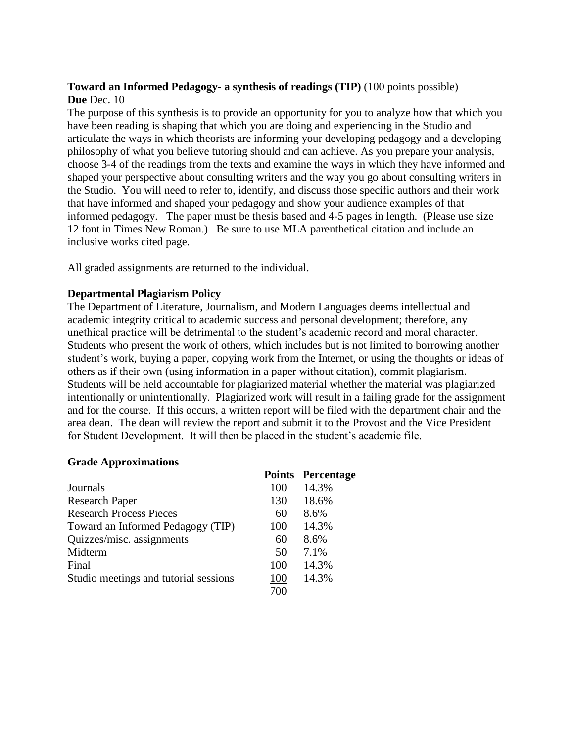## **Toward an Informed Pedagogy- a synthesis of readings (TIP)** (100 points possible) **Due** Dec. 10

The purpose of this synthesis is to provide an opportunity for you to analyze how that which you have been reading is shaping that which you are doing and experiencing in the Studio and articulate the ways in which theorists are informing your developing pedagogy and a developing philosophy of what you believe tutoring should and can achieve. As you prepare your analysis, choose 3-4 of the readings from the texts and examine the ways in which they have informed and shaped your perspective about consulting writers and the way you go about consulting writers in the Studio. You will need to refer to, identify, and discuss those specific authors and their work that have informed and shaped your pedagogy and show your audience examples of that informed pedagogy. The paper must be thesis based and 4-5 pages in length. (Please use size 12 font in Times New Roman.) Be sure to use MLA parenthetical citation and include an inclusive works cited page.

All graded assignments are returned to the individual.

## **Departmental Plagiarism Policy**

The Department of Literature, Journalism, and Modern Languages deems intellectual and academic integrity critical to academic success and personal development; therefore, any unethical practice will be detrimental to the student's academic record and moral character. Students who present the work of others, which includes but is not limited to borrowing another student's work, buying a paper, copying work from the Internet, or using the thoughts or ideas of others as if their own (using information in a paper without citation), commit plagiarism. Students will be held accountable for plagiarized material whether the material was plagiarized intentionally or unintentionally. Plagiarized work will result in a failing grade for the assignment and for the course. If this occurs, a written report will be filed with the department chair and the area dean. The dean will review the report and submit it to the Provost and the Vice President for Student Development. It will then be placed in the student's academic file.

#### **Grade Approximations**

|                                       |     | <b>Points Percentage</b> |
|---------------------------------------|-----|--------------------------|
| Journals                              | 100 | 14.3%                    |
| <b>Research Paper</b>                 | 130 | 18.6%                    |
| <b>Research Process Pieces</b>        | 60  | 8.6%                     |
| Toward an Informed Pedagogy (TIP)     | 100 | 14.3%                    |
| Quizzes/misc. assignments             | 60  | 8.6%                     |
| Midterm                               | 50  | 7.1%                     |
| Final                                 | 100 | 14.3%                    |
| Studio meetings and tutorial sessions | 100 | 14.3%                    |
|                                       | 700 |                          |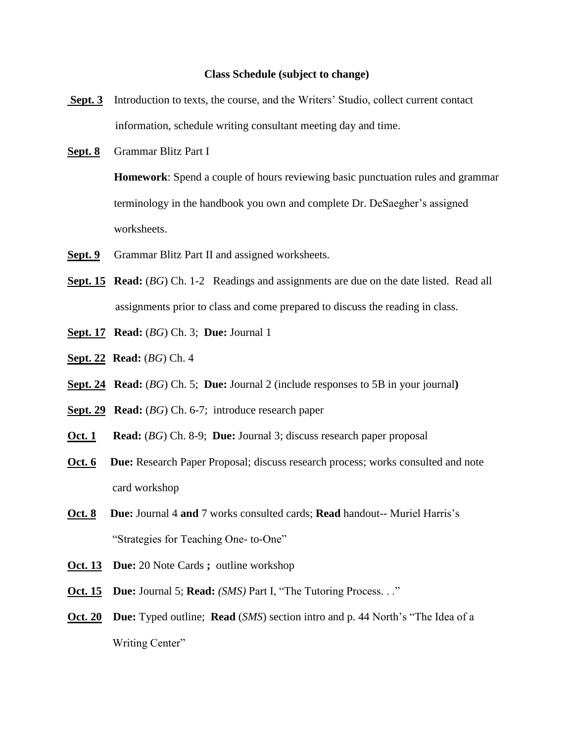#### **Class Schedule (subject to change)**

- **Sept. 3** Introduction to texts, the course, and the Writers' Studio, collect current contact information, schedule writing consultant meeting day and time.
- **Sept. 8** Grammar Blitz Part I

**Homework**: Spend a couple of hours reviewing basic punctuation rules and grammar terminology in the handbook you own and complete Dr. DeSaegher's assigned worksheets.

- **Sept. 9** Grammar Blitz Part II and assigned worksheets.
- **Sept. 15 Read:** (*BG*) Ch. 1-2 Readings and assignments are due on the date listed. Read all assignments prior to class and come prepared to discuss the reading in class.
- **Sept. 17 Read:** (*BG*) Ch. 3; **Due:** Journal 1
- **Sept. 22 Read:** (*BG*) Ch. 4
- **Sept. 24 Read:** (*BG*) Ch. 5; **Due:** Journal 2 (include responses to 5B in your journal**)**
- **Sept. 29 Read:** (*BG*) Ch. 6-7; introduce research paper
- **Oct. 1 Read:** (*BG*) Ch. 8-9; **Due:** Journal 3; discuss research paper proposal
- **Oct. 6 Due:** Research Paper Proposal; discuss research process; works consulted and note card workshop
- **Oct. 8 Due:** Journal 4 **and** 7 works consulted cards; **Read** handout-- Muriel Harris's "Strategies for Teaching One- to-One"
- **Oct. 13 Due:** 20 Note Cards **;** outline workshop
- **Oct. 15 Due:** Journal 5; **Read:** *(SMS)* Part I, "The Tutoring Process. . ."
- **Oct. 20 Due:** Typed outline; **Read** (*SMS*) section intro and p. 44 North's "The Idea of a Writing Center"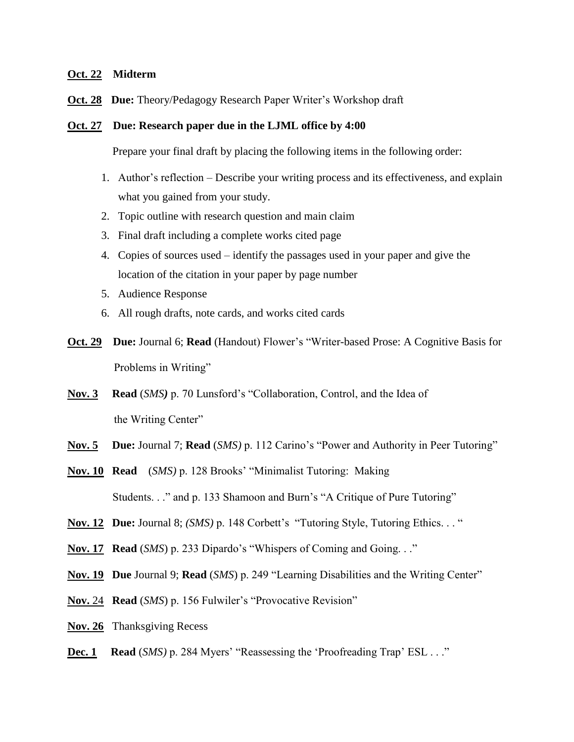#### **Oct. 22 Midterm**

**Oct. 28 Due:** Theory/Pedagogy Research Paper Writer's Workshop draft

#### **Oct. 27 Due: Research paper due in the LJML office by 4:00**

Prepare your final draft by placing the following items in the following order:

- 1. Author's reflection Describe your writing process and its effectiveness, and explain what you gained from your study.
- 2. Topic outline with research question and main claim
- 3. Final draft including a complete works cited page
- 4. Copies of sources used identify the passages used in your paper and give the location of the citation in your paper by page number
- 5. Audience Response
- 6. All rough drafts, note cards, and works cited cards
- **Oct. 29 Due:** Journal 6; **Read** (Handout) Flower's "Writer-based Prose: A Cognitive Basis for Problems in Writing"
- **Nov. 3 Read** (*SMS)* p. 70 Lunsford's "Collaboration, Control, and the Idea of the Writing Center"
- **Nov. 5 Due:** Journal 7; **Read** (*SMS)* p. 112 Carino's "Power and Authority in Peer Tutoring"
- **Nov. 10 Read** (*SMS)* p. 128 Brooks' "Minimalist Tutoring: Making Students. . ." and p. 133 Shamoon and Burn's "A Critique of Pure Tutoring"
- **Nov. 12 Due:** Journal 8; *(SMS)* p. 148 Corbett's "Tutoring Style, Tutoring Ethics. . . "
- **Nov. 17 Read** (*SMS*) p. 233 Dipardo's "Whispers of Coming and Going. . ."
- **Nov. 19 Due** Journal 9; **Read** (*SMS*) p. 249 "Learning Disabilities and the Writing Center"
- **Nov.** 24 **Read** (*SMS*) p. 156 Fulwiler's "Provocative Revision"
- **Nov. 26** Thanksgiving Recess
- **Dec. 1 Read** (*SMS)* p. 284 Myers' "Reassessing the 'Proofreading Trap' ESL . . ."